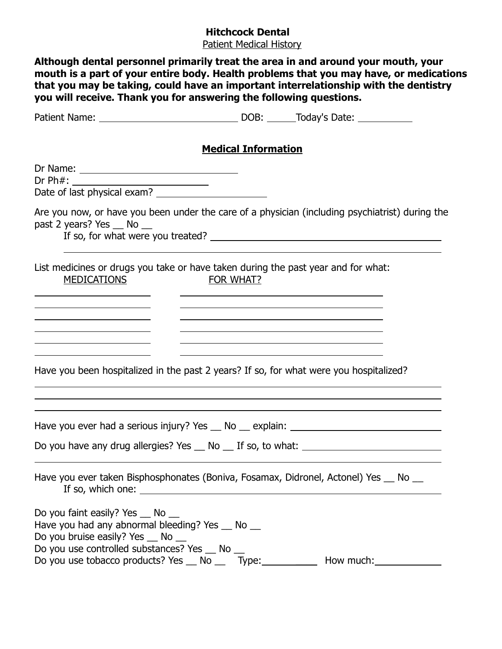## **Hitchcock Dental**

Patient Medical History

| Although dental personnel primarily treat the area in and around your mouth, your<br>mouth is a part of your entire body. Health problems that you may have, or medications<br>that you may be taking, could have an important interrelationship with the dentistry<br>you will receive. Thank you for answering the following questions. |                            |                                                                                                                                                                                                                                                                                       |  |
|-------------------------------------------------------------------------------------------------------------------------------------------------------------------------------------------------------------------------------------------------------------------------------------------------------------------------------------------|----------------------------|---------------------------------------------------------------------------------------------------------------------------------------------------------------------------------------------------------------------------------------------------------------------------------------|--|
|                                                                                                                                                                                                                                                                                                                                           |                            |                                                                                                                                                                                                                                                                                       |  |
|                                                                                                                                                                                                                                                                                                                                           | <b>Medical Information</b> |                                                                                                                                                                                                                                                                                       |  |
|                                                                                                                                                                                                                                                                                                                                           |                            |                                                                                                                                                                                                                                                                                       |  |
| Are you now, or have you been under the care of a physician (including psychiatrist) during the<br>past 2 years? Yes __ No __                                                                                                                                                                                                             |                            |                                                                                                                                                                                                                                                                                       |  |
| List medicines or drugs you take or have taken during the past year and for what:<br><b>MEDICATIONS</b><br>FOR WHAT?<br><u> 1989 - Johann Stoff, Amerikaansk politiker († 1908)</u>                                                                                                                                                       |                            |                                                                                                                                                                                                                                                                                       |  |
| <u> 1989 - Johann Barn, mars an t-Amerikaansk politiker (</u>                                                                                                                                                                                                                                                                             |                            | <u> 1980 - Johann Barn, fransk politik (d. 1980)</u><br>the control of the control of the control of the control of the control of the control of the control of the control of the control of the control of the control of the control of the control of the control of the control |  |
| Have you been hospitalized in the past 2 years? If so, for what were you hospitalized?                                                                                                                                                                                                                                                    |                            |                                                                                                                                                                                                                                                                                       |  |
| Have you ever had a serious injury? Yes __ No __ explain: _______________________                                                                                                                                                                                                                                                         |                            |                                                                                                                                                                                                                                                                                       |  |
| Do you have any drug allergies? Yes __ No __ If so, to what: ____________________                                                                                                                                                                                                                                                         |                            |                                                                                                                                                                                                                                                                                       |  |
| Have you ever taken Bisphosphonates (Boniva, Fosamax, Didronel, Actonel) Yes __ No __                                                                                                                                                                                                                                                     |                            |                                                                                                                                                                                                                                                                                       |  |
| Do you faint easily? Yes __ No __<br>Have you had any abnormal bleeding? Yes __ No __<br>Do you bruise easily? Yes __ No __<br>Do you use controlled substances? Yes _ No _<br>Do you use tobacco products? Yes __ No __ Type: ___________ How much: __________                                                                           |                            |                                                                                                                                                                                                                                                                                       |  |